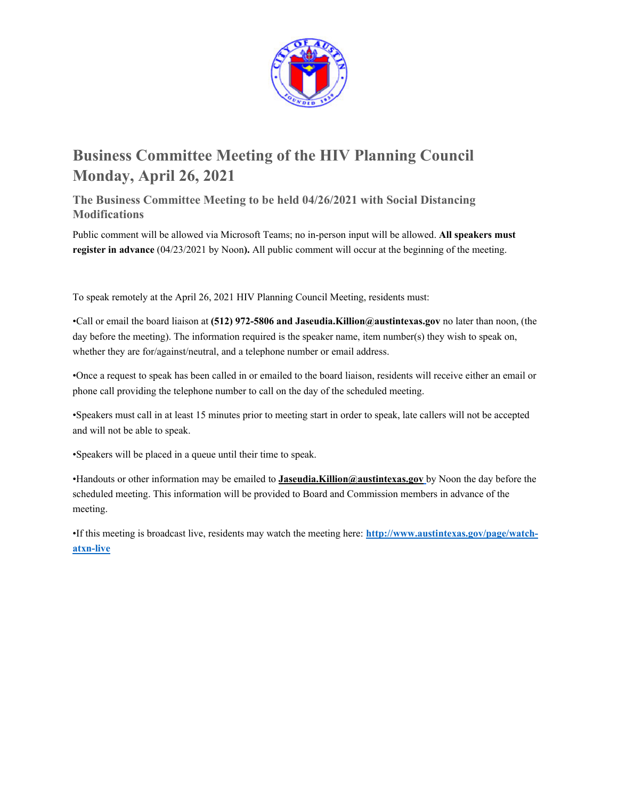

# **Business Committee Meeting of the HIV Planning Council Monday, April 26, 2021**

**The Business Committee Meeting to be held 04/26/2021 with Social Distancing Modifications** 

Public comment will be allowed via Microsoft Teams; no in-person input will be allowed. **All speakers must register in advance** (04/23/2021 by Noon**).** All public comment will occur at the beginning of the meeting.

To speak remotely at the April 26, 2021 HIV Planning Council Meeting, residents must:

•Call or email the board liaison at **(512) 972-5806 and Jaseudia.Killion@austintexas.gov** no later than noon, (the day before the meeting). The information required is the speaker name, item number(s) they wish to speak on, whether they are for/against/neutral, and a telephone number or email address.

•Once a request to speak has been called in or emailed to the board liaison, residents will receive either an email or phone call providing the telephone number to call on the day of the scheduled meeting.

•Speakers must call in at least 15 minutes prior to meeting start in order to speak, late callers will not be accepted and will not be able to speak.

•Speakers will be placed in a queue until their time to speak.

•Handouts or other information may be emailed to **Jaseudia.Killion@austintexas.gov** by Noon the day before the scheduled meeting. This information will be provided to Board and Commission members in advance of the meeting.

•If this meeting is broadcast live, residents may watch the meeting here: **http://www.austintexas.gov/page/watchatxn-live**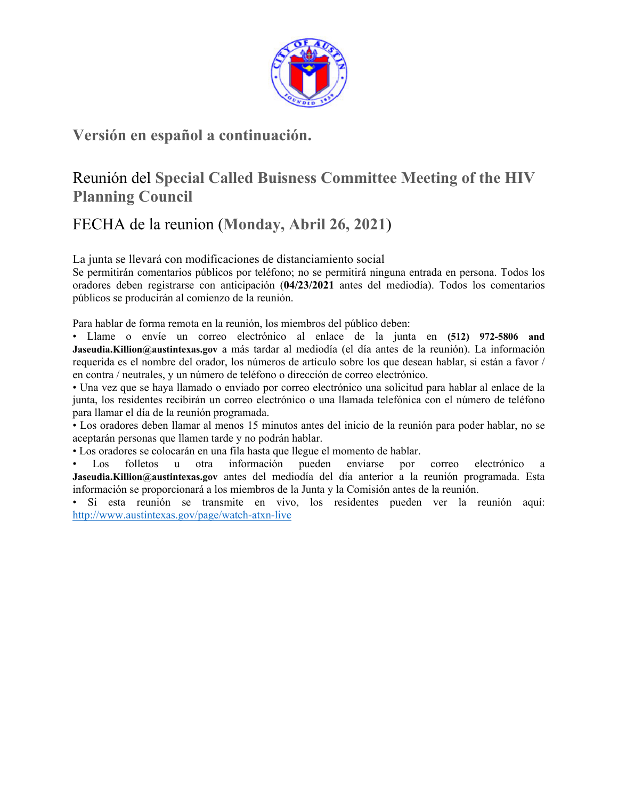

### **Versión en español a continuación.**

## Reunión del **Special Called Buisness Committee Meeting of the HIV Planning Council**

## FECHA de la reunion (**Monday, Abril 26, 2021**)

La junta se llevará con modificaciones de distanciamiento social

Se permitirán comentarios públicos por teléfono; no se permitirá ninguna entrada en persona. Todos los oradores deben registrarse con anticipación (**04/23/2021** antes del mediodía). Todos los comentarios públicos se producirán al comienzo de la reunión.

Para hablar de forma remota en la reunión, los miembros del público deben:

• Llame o envíe un correo electrónico al enlace de la junta en **(512) 972-5806 and Jaseudia.Killion@austintexas.gov** a más tardar al mediodía (el día antes de la reunión). La información requerida es el nombre del orador, los números de artículo sobre los que desean hablar, si están a favor / en contra / neutrales, y un número de teléfono o dirección de correo electrónico.

• Una vez que se haya llamado o enviado por correo electrónico una solicitud para hablar al enlace de la junta, los residentes recibirán un correo electrónico o una llamada telefónica con el número de teléfono para llamar el día de la reunión programada.

• Los oradores deben llamar al menos 15 minutos antes del inicio de la reunión para poder hablar, no se aceptarán personas que llamen tarde y no podrán hablar.

• Los oradores se colocarán en una fila hasta que llegue el momento de hablar.

• Los folletos u otra información pueden enviarse por correo electrónico a **Jaseudia.Killion@austintexas.gov** antes del mediodía del día anterior a la reunión programada. Esta información se proporcionará a los miembros de la Junta y la Comisión antes de la reunión.

• Si esta reunión se transmite en vivo, los residentes pueden ver la reunión aquí: http://www.austintexas.gov/page/watch-atxn-live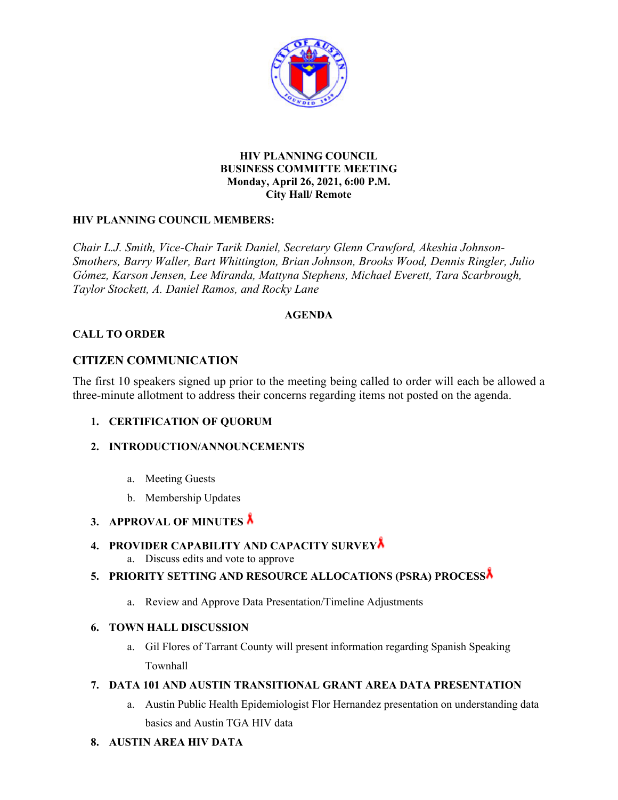

#### **HIV PLANNING COUNCIL BUSINESS COMMITTE MEETING Monday, April 26, 2021, 6:00 P.M. City Hall/ Remote**

#### **HIV PLANNING COUNCIL MEMBERS:**

*Chair L.J. Smith, Vice-Chair Tarik Daniel, Secretary Glenn Crawford, Akeshia Johnson-Smothers, Barry Waller, Bart Whittington, Brian Johnson, Brooks Wood, Dennis Ringler, Julio Gómez, Karson Jensen, Lee Miranda, Mattyna Stephens, Michael Everett, Tara Scarbrough, Taylor Stockett, A. Daniel Ramos, and Rocky Lane* 

#### **AGENDA**

#### **CALL TO ORDER**

#### **CITIZEN COMMUNICATION**

The first 10 speakers signed up prior to the meeting being called to order will each be allowed a three-minute allotment to address their concerns regarding items not posted on the agenda.

#### **1. CERTIFICATION OF QUORUM**

#### **2. INTRODUCTION/ANNOUNCEMENTS**

- a. Meeting Guests
- b. Membership Updates

### **3. APPROVAL OF MINUTES**

#### **4. PROVIDER CAPABILITY AND CAPACITY SURVEY**

a. Discuss edits and vote to approve

#### **5. PRIORITY SETTING AND RESOURCE ALLOCATIONS (PSRA) PROCESS**

a. Review and Approve Data Presentation/Timeline Adjustments

#### **6. TOWN HALL DISCUSSION**

a. Gil Flores of Tarrant County will present information regarding Spanish Speaking Townhall

#### **7. DATA 101 AND AUSTIN TRANSITIONAL GRANT AREA DATA PRESENTATION**

- a. Austin Public Health Epidemiologist Flor Hernandez presentation on understanding data basics and Austin TGA HIV data
- **8. AUSTIN AREA HIV DATA**